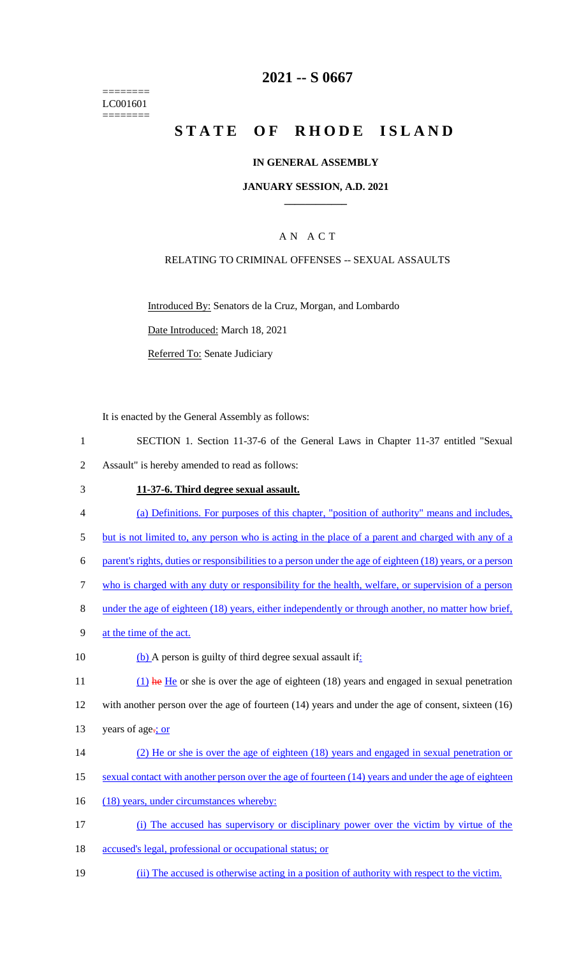======== LC001601 ========

## **2021 -- S 0667**

# **STATE OF RHODE ISLAND**

## **IN GENERAL ASSEMBLY**

### **JANUARY SESSION, A.D. 2021 \_\_\_\_\_\_\_\_\_\_\_\_**

## A N A C T

## RELATING TO CRIMINAL OFFENSES -- SEXUAL ASSAULTS

Introduced By: Senators de la Cruz, Morgan, and Lombardo

Date Introduced: March 18, 2021

Referred To: Senate Judiciary

It is enacted by the General Assembly as follows:

- 1 SECTION 1. Section 11-37-6 of the General Laws in Chapter 11-37 entitled "Sexual 2 Assault" is hereby amended to read as follows:
- 3 **11-37-6. Third degree sexual assault.**
- 4 (a) Definitions. For purposes of this chapter, "position of authority" means and includes,
- 5 but is not limited to, any person who is acting in the place of a parent and charged with any of a
- 6 parent's rights, duties or responsibilities to a person under the age of eighteen (18) years, or a person
- 7 who is charged with any duty or responsibility for the health, welfare, or supervision of a person
- 8 under the age of eighteen (18) years, either independently or through another, no matter how brief,
- 9 at the time of the act.
- 10 (b) A person is guilty of third degree sexual assault if:

11 (1) he He or she is over the age of eighteen (18) years and engaged in sexual penetration 12 with another person over the age of fourteen (14) years and under the age of consent, sixteen (16)

- 13 years of age-; or
- 14 (2) He or she is over the age of eighteen (18) years and engaged in sexual penetration or
- 15 sexual contact with another person over the age of fourteen (14) years and under the age of eighteen
- 16 (18) years, under circumstances whereby:
- 17 (i) The accused has supervisory or disciplinary power over the victim by virtue of the
- 18 accused's legal, professional or occupational status; or
- 19 (ii) The accused is otherwise acting in a position of authority with respect to the victim.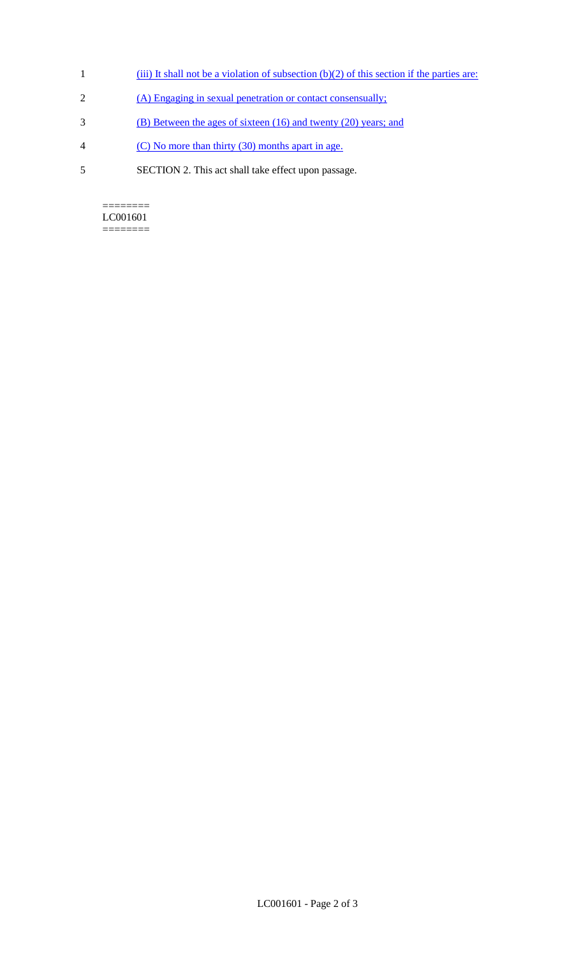- 1 (iii) It shall not be a violation of subsection (b)(2) of this section if the parties are:
- 2 (A) Engaging in sexual penetration or contact consensually;
- 3 (B) Between the ages of sixteen (16) and twenty (20) years; and
- 4 (C) No more than thirty (30) months apart in age.
- 5 SECTION 2. This act shall take effect upon passage.

 $=$ LC001601 ========